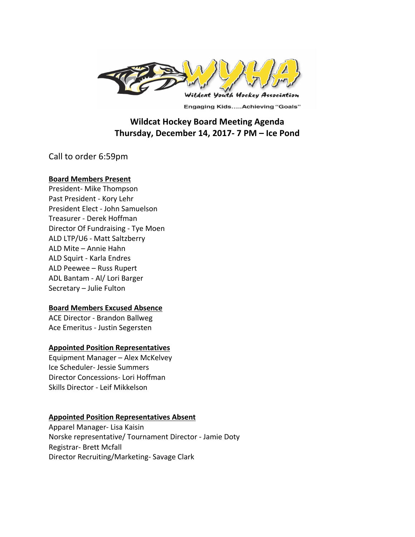

**Engaging Kids.....Achieving "Goals"** 

# **Wildcat Hockey Board Meeting Agenda Thursday, December 14, 2017- 7 PM – Ice Pond**

Call to order 6:59pm

## **Board Members Present**

President- Mike Thompson Past President - Kory Lehr President Elect - John Samuelson Treasurer - Derek Hoffman Director Of Fundraising - Tye Moen ALD LTP/U6 - Matt Saltzberry ALD Mite - Annie Hahn ALD Squirt - Karla Endres ALD Peewee - Russ Rupert ADL Bantam - Al/ Lori Barger Secretary - Julie Fulton

## **Board Members Excused Absence**

ACE Director - Brandon Ballweg Ace Emeritus - Justin Segersten

## **Appointed Position Representatives**

Equipment Manager - Alex McKelvey Ice Scheduler- Jessie Summers Director Concessions- Lori Hoffman Skills Director - Leif Mikkelson

## **Appointed Position Representatives Absent**

Apparel Manager- Lisa Kaisin Norske representative/ Tournament Director - Jamie Doty Registrar- Brett Mcfall Director Recruiting/Marketing- Savage Clark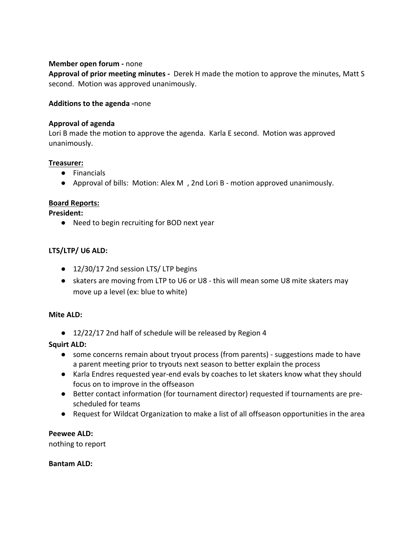## **Member open forum** - none

**Approval of prior meeting minutes** - Derek H made the motion to approve the minutes, Matt S second. Motion was approved unanimously.

### **Additions to the agenda -none**

### **Approval of agenda**

Lori B made the motion to approve the agenda. Karla E second. Motion was approved unanimously. 

### **Treasurer:**

- Financials
- Approval of bills: Motion: Alex M, 2nd Lori B motion approved unanimously.

## **Board Reports:**

### **President:**

● Need to begin recruiting for BOD next year

## LTS/LTP/ U6 ALD:

- 12/30/17 2nd session LTS/ LTP begins
- skaters are moving from LTP to U6 or U8 this will mean some U8 mite skaters may move up a level (ex: blue to white)

### **Mite ALD:**

● 12/22/17 2nd half of schedule will be released by Region 4

## **Squirt ALD:**

- some concerns remain about tryout process (from parents) suggestions made to have a parent meeting prior to tryouts next season to better explain the process
- Karla Endres requested year-end evals by coaches to let skaters know what they should focus on to improve in the offseason
- Better contact information (for tournament director) requested if tournaments are prescheduled for teams
- Request for Wildcat Organization to make a list of all offseason opportunities in the area

## **Peewee ALD:**

nothing to report

### **Bantam ALD:**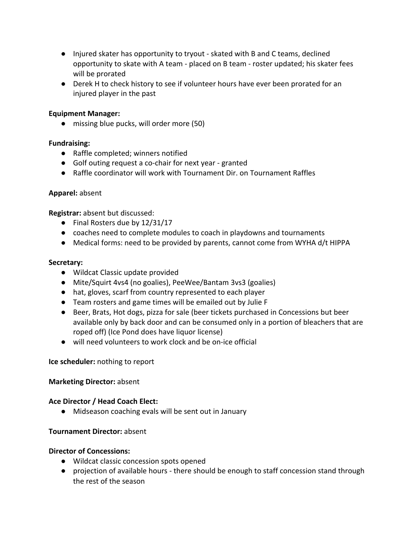- Injured skater has opportunity to tryout skated with B and C teams, declined opportunity to skate with A team - placed on B team - roster updated; his skater fees will be prorated
- Derek H to check history to see if volunteer hours have ever been prorated for an injured player in the past

# **Equipment Manager:**

• missing blue pucks, will order more (50)

# **Fundraising:**

- Raffle completed; winners notified
- Golf outing request a co-chair for next year granted
- Raffle coordinator will work with Tournament Dir. on Tournament Raffles

## **Apparel:** absent

**Registrar:** absent but discussed:

- $\bullet$  Final Rosters due by 12/31/17
- coaches need to complete modules to coach in playdowns and tournaments
- Medical forms: need to be provided by parents, cannot come from WYHA d/t HIPPA

## **Secretary:**

- Wildcat Classic update provided
- Mite/Squirt 4vs4 (no goalies), PeeWee/Bantam 3vs3 (goalies)
- hat, gloves, scarf from country represented to each player
- Team rosters and game times will be emailed out by Julie F
- Beer, Brats, Hot dogs, pizza for sale (beer tickets purchased in Concessions but beer available only by back door and can be consumed only in a portion of bleachers that are roped off) (Ice Pond does have liquor license)
- will need volunteers to work clock and be on-ice official

## **Ice scheduler:** nothing to report

## **Marketing Director: absent**

## **Ace Director / Head Coach Elect:**

• Midseason coaching evals will be sent out in January

## **Tournament Director: absent**

## **Director of Concessions:**

- Wildcat classic concession spots opened
- projection of available hours there should be enough to staff concession stand through the rest of the season